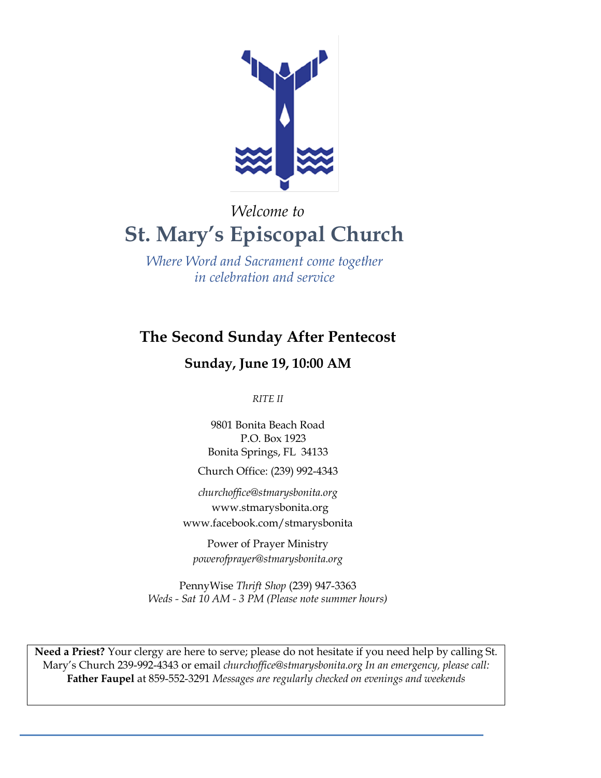

# *Welcome to* **St. Mary's Episcopal Church**

*Where Word and Sacrament come together in celebration and service*

# **The Second Sunday After Pentecost**

# **Sunday, June 19, 10:00 AM**

*RITE II*

9801 Bonita Beach Road P.O. Box 1923 Bonita Springs, FL 34133

Church Office: (239) 992-4343

*[churchoffice@stmarysbonita.org](mailto:churchoffice@stmarysbonita.org)* www[.stmarysbonita.org](https://www.stmarysbonita.org/) www[.facebook.com/stmarysbonita](https://www.facebook.com/stmarysbonita/)

Power of Prayer Ministry *[powerofprayer@s](mailto:powerofprayer@)tmarysbonita.org*

PennyWise *Thrift Shop* (239) 947-3363 *Weds - Sat 10 AM - 3 PM (Please note summer hours)*

**Need a Priest?** Your clergy are here to serve; please do not hesitate if you need help by calling St. Mary's Church 239-992-4343 or email *[churchoffice@stmarysbonita.org](mailto:churchoffice@stmarysbonita.org) In an emergency, please call:* **Father Faupel** at 859-552-3291 *Messages are regularly checked on evenings and weekends*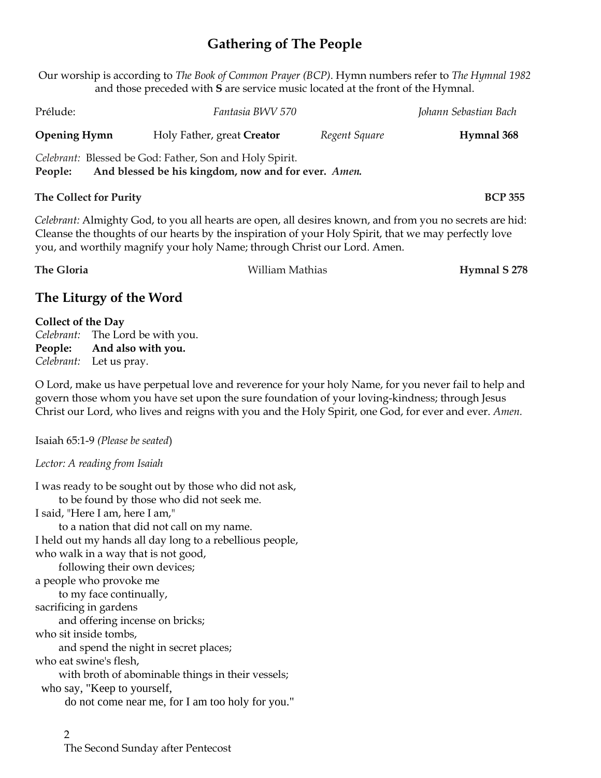# **Gathering of The People**

Our worship is according to *The Book of Common Prayer (BCP)*. Hymn numbers refer to *The Hymnal 1982* and those preceded with **S** are service music located at the front of the Hymnal.

| Prélude:                                                                                                                  | Fantasia BWV 570           |               | Johann Sebastian Bach |  |
|---------------------------------------------------------------------------------------------------------------------------|----------------------------|---------------|-----------------------|--|
| <b>Opening Hymn</b>                                                                                                       | Holy Father, great Creator | Regent Square | Hymnal 368            |  |
| Celebrant: Blessed be God: Father, Son and Holy Spirit.<br>And blessed be his kingdom, now and for ever. Amen.<br>People: |                            |               |                       |  |

#### **The Collect for Purity BCP 355**

*Celebrant:* Almighty God, to you all hearts are open, all desires known, and from you no secrets are hid: Cleanse the thoughts of our hearts by the inspiration of your Holy Spirit, that we may perfectly love you, and worthily magnify your holy Name; through Christ our Lord. Amen.

**The Gloria** William Mathias **Hymnal S 278**

## **The Liturgy of the Word**

#### **Collect of the Day**

*Celebrant:* The Lord be with you. **People: And also with you.** *Celebrant:* Let us pray.

O Lord, make us have perpetual love and reverence for your holy Name, for you never fail to help and govern those whom you have set upon the sure foundation of your loving-kindness; through Jesus Christ our Lord, who lives and reigns with you and the Holy Spirit, one God, for ever and ever. *Amen.*

Isaiah 65:1-9 *(Please be seated*)

*Lector: A reading from Isaiah*

I was ready to be sought out by those who did not ask, to be found by those who did not seek me. I said, "Here I am, here I am," to a nation that did not call on my name. I held out my hands all day long to a rebellious people, who walk in a way that is not good, following their own devices; a people who provoke me to my face continually, sacrificing in gardens and offering incense on bricks; who sit inside tombs, and spend the night in secret places; who eat swine's flesh, with broth of abominable things in their vessels; who say, "Keep to yourself, do not come near me, for I am too holy for you."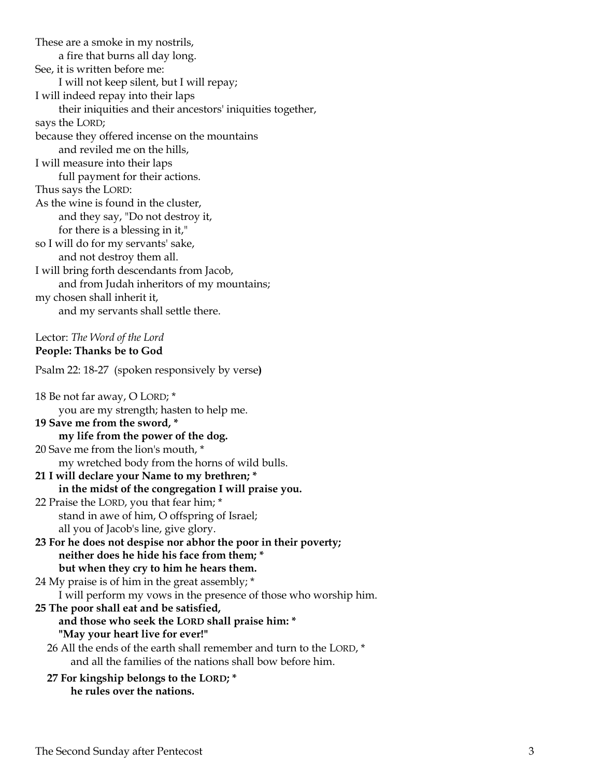These are a smoke in my nostrils, a fire that burns all day long. See, it is written before me: I will not keep silent, but I will repay; I will indeed repay into their laps their iniquities and their ancestors' iniquities together, says the LORD ; because they offered incense on the mountains and reviled me on the hills, I will measure into their laps full payment for their actions. Thus says the LORD : As the wine is found in the cluster, and they say, "Do not destroy it, for there is a blessing in it," so I will do for my servants' sake, and not destroy them all. I will bring forth descendants from Jacob, and from Judah inheritors of my mountains; my chosen shall inherit it, and my servants shall settle there. Lector: *The Word of the Lord* **People: Thanks be to God** Psalm 22: 18 -27 (spoken responsively by verse**)**  18 Be not far away, O LORD; \* you are my strength; hasten to help me. **19 Save me from the sword, \* my life from the power of the dog.** 20 Save me from the lion's mouth, \* my wretched body from the horns of wild bulls. **21 I will declare your Name to my brethren; \* in the midst of the congregation I will praise you.** 22 Praise the LORD, you that fear him; \* stand in awe of him, O offspring of Israel; all you of Jacob's line, give glory. **23 For he does not despise nor abhor the poor in their poverty; neither does he hide his face from them; \* but when they cry to him he hears them.** 24 My praise is of him in the great assembly; \* I will perform my vows in the presence of those who worship him. **25 The poor shall eat and be satisfied, and those who seek the LORD shall praise him: \* "May your heart live for ever!"** 26 All the ends of the earth shall remember and turn to the LORD, \* and all the families of the nations shall bow before him . **27 For kingship belongs to the LORD; \* he rules over the nations.**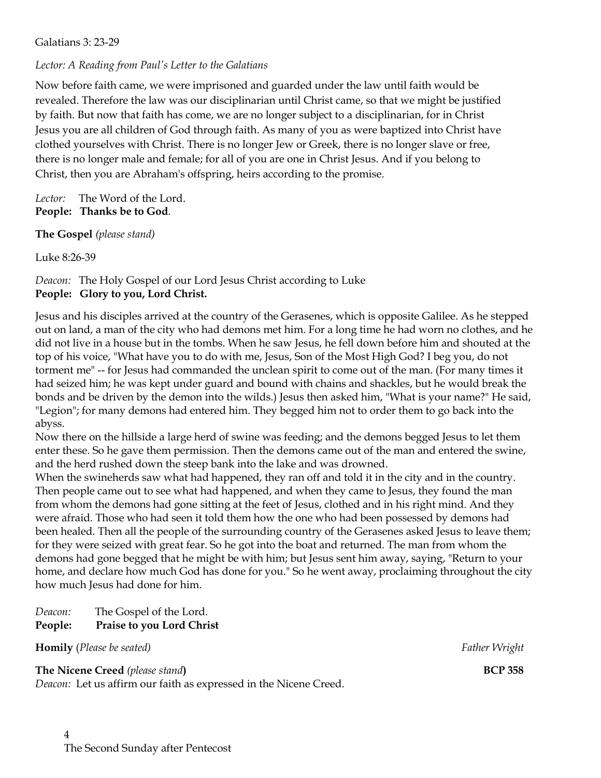#### Galatians 3: 23-29

#### *Lector: A Reading from Paul's Letter to the Galatians*

Now before faith came, we were imprisoned and guarded under the law until faith would be revealed. Therefore the law was our disciplinarian until Christ came, so that we might be justified by faith. But now that faith has come, we are no longer subject to a disciplinarian, for in Christ Jesus you are all children of God through faith. As many of you as were baptized into Christ have clothed yourselves with Christ. There is no longer Jew or Greek, there is no longer slave or free, there is no longer male and female; for all of you are one in Christ Jesus. And if you belong to Christ, then you are Abraham's offspring, heirs according to the promise.

*Lector:* The Word of the Lord. **People:****Thanks be to God***.*

**The Gospel** *(please stand)*

Luke 8:26-39

*Deacon:* The Holy Gospel of our Lord Jesus Christ according to Luke **People:****Glory to you, Lord Christ.**

Jesus and his disciples arrived at the country of the Gerasenes, which is opposite Galilee. As he stepped out on land, a man of the city who had demons met him. For a long time he had worn no clothes, and he did not live in a house but in the tombs. When he saw Jesus, he fell down before him and shouted at the top of his voice, "What have you to do with me, Jesus, Son of the Most High God? I beg you, do not torment me" -- for Jesus had commanded the unclean spirit to come out of the man. (For many times it had seized him; he was kept under guard and bound with chains and shackles, but he would break the bonds and be driven by the demon into the wilds.) Jesus then asked him, "What is your name?" He said, "Legion"; for many demons had entered him. They begged him not to order them to go back into the abyss.

Now there on the hillside a large herd of swine was feeding; and the demons begged Jesus to let them enter these. So he gave them permission. Then the demons came out of the man and entered the swine, and the herd rushed down the steep bank into the lake and was drowned.

When the swineherds saw what had happened, they ran off and told it in the city and in the country. Then people came out to see what had happened, and when they came to Jesus, they found the man from whom the demons had gone sitting at the feet of Jesus, clothed and in his right mind. And they were afraid. Those who had seen it told them how the one who had been possessed by demons had been healed. Then all the people of the surrounding country of the Gerasenes asked Jesus to leave them; for they were seized with great fear. So he got into the boat and returned. The man from whom the demons had gone begged that he might be with him; but Jesus sent him away, saying, "Return to your home, and declare how much God has done for you." So he went away, proclaiming throughout the city how much Jesus had done for him.

| Deacon: | The Gospel of the Lord.   |
|---------|---------------------------|
| People: | Praise to you Lord Christ |

**Homily** (*Please be seated*) **Father Wright**  Father Wright **Father Wright Father Wright Father Wright** 

#### **The Nicene Creed** (please stand) **BCP** 358

*Deacon:* Let us affirm our faith as expressed in the Nicene Creed.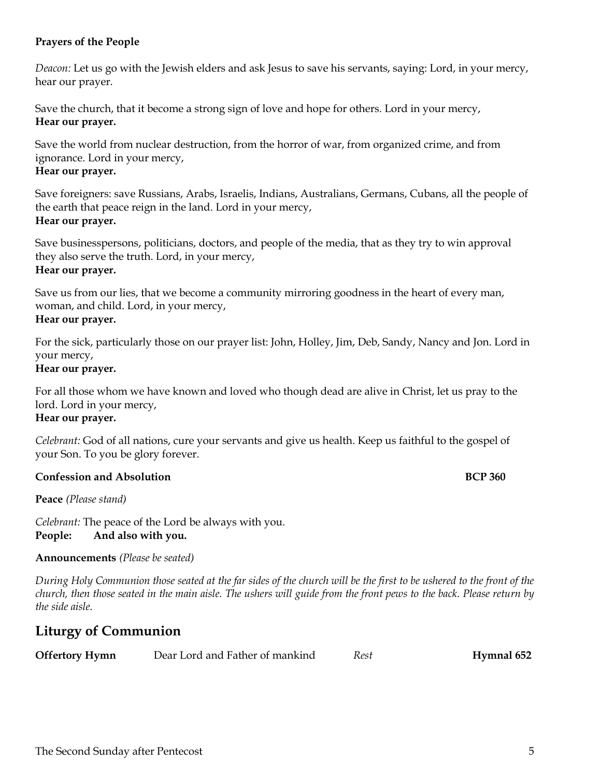#### **Prayers of the People**

*Deacon:* Let us go with the Jewish elders and ask Jesus to save his servants, saying: Lord, in your mercy, hear our prayer.

Save the church, that it become a strong sign of love and hope for others. Lord in your mercy, **Hear our prayer.**

Save the world from nuclear destruction, from the horror of war, from organized crime, and from ignorance. Lord in your mercy,

#### **Hear our prayer.**

Save foreigners: save Russians, Arabs, Israelis, Indians, Australians, Germans, Cubans, all the people of the earth that peace reign in the land. Lord in your mercy, **Hear our prayer.**

Save businesspersons, politicians, doctors, and people of the media, that as they try to win approval they also serve the truth. Lord, in your mercy, **Hear our prayer.**

Save us from our lies, that we become a community mirroring goodness in the heart of every man, woman, and child. Lord, in your mercy,

#### **Hear our prayer.**

For the sick, particularly those on our prayer list: John, Holley, Jim, Deb, Sandy, Nancy and Jon. Lord in your mercy,

#### **Hear our prayer.**

For all those whom we have known and loved who though dead are alive in Christ, let us pray to the lord. Lord in your mercy,

#### **Hear our prayer.**

*Celebrant:* God of all nations, cure your servants and give us health. Keep us faithful to the gospel of your Son. To you be glory forever.

#### **Confession and Absolution BCP 360**

**Peace** *(Please stand)*

*Celebrant:* The peace of the Lord be always with you. **People: And also with you.**

#### **Announcements** *(Please be seated)*

*During Holy Communion those seated at the far sides of the church will be the first to be ushered to the front of the church, then those seated in the main aisle. The ushers will guide from the front pews to the back. Please return by the side aisle.*

# **Liturgy of Communion**

| <b>Offertory Hymn</b> | Dear Lord and Father of mankind | Rest | Hymnal 652 |
|-----------------------|---------------------------------|------|------------|
|-----------------------|---------------------------------|------|------------|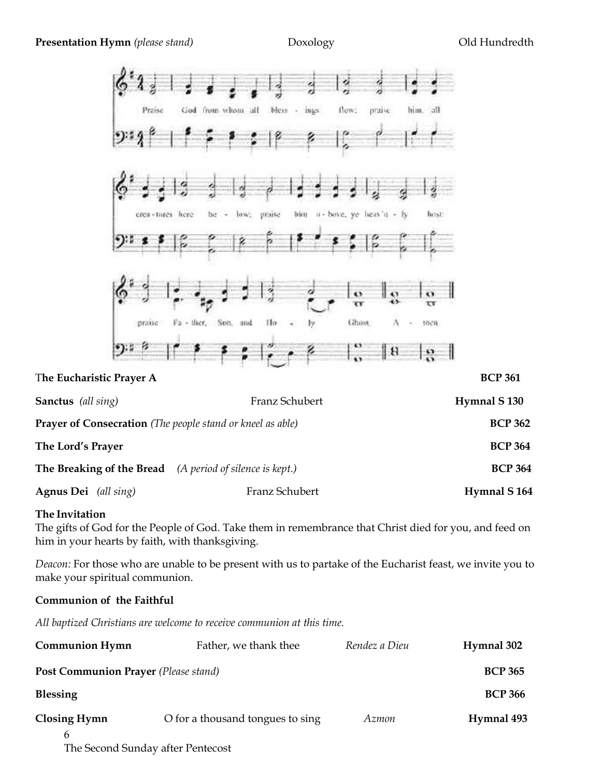

**Agnus Dei** *(all sing)* **Franz Schubert Hymnal S 164** 

#### **The Invitation**

The gifts of God for the People of God. Take them in remembrance that Christ died for you, and feed on him in your hearts by faith, with thanksgiving.

*Deacon:* For those who are unable to be present with us to partake of the Eucharist feast, we invite you to make your spiritual communion.

#### **Communion of the Faithful**

*All baptized Christians are welcome to receive communion at this time.*

| <b>Communion Hymn</b>                       | Father, we thank thee            | Rendez a Dieu | Hymnal 302     |
|---------------------------------------------|----------------------------------|---------------|----------------|
| <b>Post Communion Prayer</b> (Please stand) |                                  |               | <b>BCP 365</b> |
| <b>Blessing</b>                             |                                  |               | <b>BCP 366</b> |
| <b>Closing Hymn</b><br>6                    | O for a thousand tongues to sing | Azmon         | Hymnal 493     |

The Second Sunday after Pentecost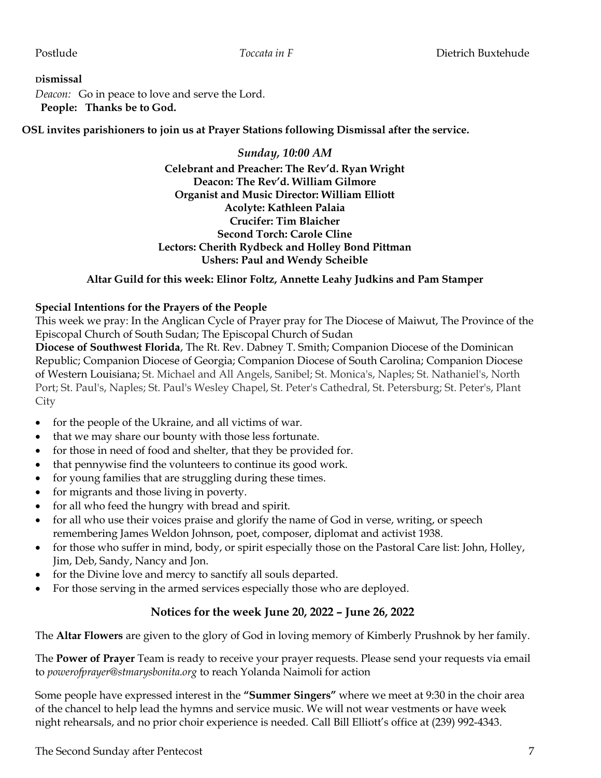**Dismissal** 

*Deacon:* Go in peace to love and serve the Lord.  **People: Thanks be to God.**

**OSL invites parishioners to join us at Prayer Stations following Dismissal after the service.**

#### *Sunday, 10:00 AM* **Celebrant and Preacher: The Rev'd. Ryan Wright Deacon: The Rev'd. William Gilmore Organist and Music Director: William Elliott Acolyte: Kathleen Palaia Crucifer: Tim Blaicher Second Torch: Carole Cline Lectors: Cherith Rydbeck and Holley Bond Pittman Ushers: Paul and Wendy Scheible**

#### **Altar Guild for this week: Elinor Foltz, Annette Leahy Judkins and Pam Stamper**

#### **Special Intentions for the Prayers of the People**

This week we pray: In the Anglican Cycle of Prayer pray for The Diocese of Maiwut, The Province of the Episcopal Church of South Sudan; The Episcopal Church of Sudan

**Diocese of Southwest Florida**, The Rt. Rev. Dabney T. Smith; Companion Diocese of the Dominican Republic; Companion Diocese of Georgia; Companion Diocese of South Carolina; Companion Diocese of Western Louisiana; St. Michael and All Angels, Sanibel; St. Monica's, Naples; St. Nathaniel's, North Port; St. Paul's, Naples; St. Paul's Wesley Chapel, St. Peter's Cathedral, St. Petersburg; St. Peter's, Plant **City** 

- for the people of the Ukraine, and all victims of war.
- that we may share our bounty with those less fortunate.
- for those in need of food and shelter, that they be provided for.
- that pennywise find the volunteers to continue its good work.
- for young families that are struggling during these times.
- for migrants and those living in poverty.
- for all who feed the hungry with bread and spirit.
- for all who use their voices praise and glorify the name of God in verse, writing, or speech remembering James Weldon Johnson, poet, composer, diplomat and activist 1938.
- for those who suffer in mind, body, or spirit especially those on the Pastoral Care list: John, Holley, Jim, Deb, Sandy, Nancy and Jon.
- for the Divine love and mercy to sanctify all souls departed.
- For those serving in the armed services especially those who are deployed.

### **Notices for the week June 20, 2022 – June 26, 2022**

The **Altar Flowers** are given to the glory of God in loving memory of Kimberly Prushnok by her family.

The **Power of Prayer** Team is ready to receive your prayer requests. Please send your requests via email to *[powerofprayer@stmarysbonita.org](mailto:powerofprayer@stmarysbonita.org)* to reach Yolanda Naimoli for action

Some people have expressed interest in the **"Summer Singers"** where we meet at 9:30 in the choir area of the chancel to help lead the hymns and service music. We will not wear vestments or have week night rehearsals, and no prior choir experience is needed. Call Bill Elliott's office at (239) 992-4343.